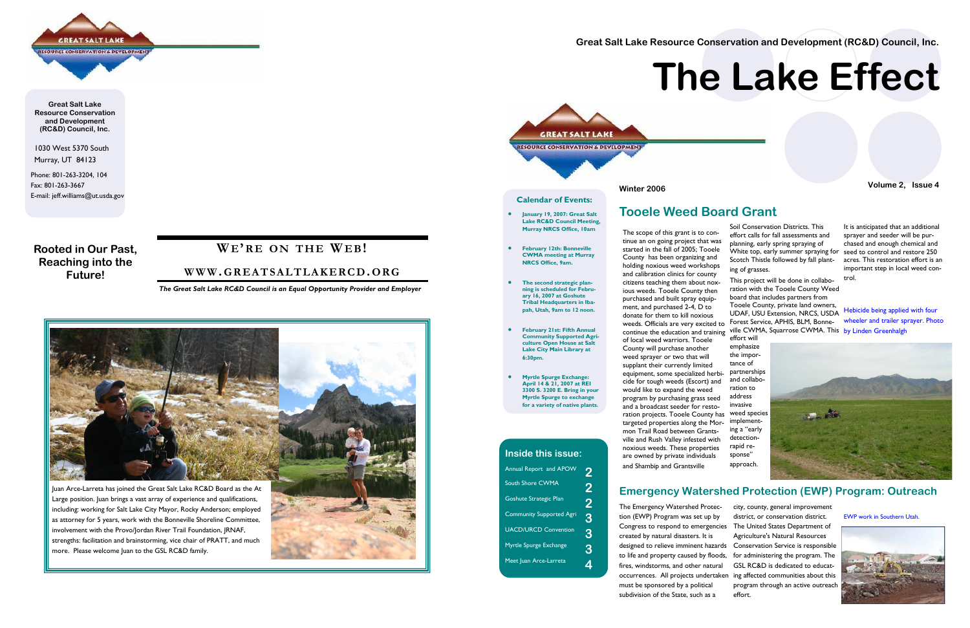1030 West 5370 South Murray, UT 84123

Phone: 801-263-3204, 104 Fax: 801-263-3667 E-mail: jeff.williams@ut.usda.gov

# **GREAT SALT LAKE** SOURCE CONSERVATION & DEVELOPMENT

**Great Salt Lake Resource Conservation and Development (RC&D) Council, Inc.** 

> Juan Arce-Larreta has joined the Great Salt Lake RC&D Board as the At Large position. Juan brings a vast array of experience and qualifications, including: working for Salt Lake City Mayor, Rocky Anderson; employed as attorney for 5 years, work with the Bonneville Shoreline Committee, involvement with the Provo/Jordan River Trail Foundation, JRNAF, strengths: facilitation and brainstorming, vice chair of PRATT, and much more. Please welcome Juan to the GSL RC&D family.



**Rooted in Our Past, Reaching into the Future!** 

# **WE'R E O N THE WE B!**

# **WWW. GREATSALTLAKERCD.ORG**

*The Great Salt Lake RC&D Council is an Equal Opportunity Provider and Employer* 



# **Inside this issue:**Annual Report and APOW **2** South Shore CWMA **2**

# **Tooele Weed Board Grant**

# **Emergency Watershed Protection (EWP) Program: Outreach**

The scope of this grant is to continue an on going project that was started in the fall of 2005; Tooele County has been organizing and holding noxious weed workshops and calibration clinics for county citizens teaching them about noxious weeds. Tooele County then purchased and built spray equipment, and purchased 2-4, D to donate for them to kill noxious weeds. Officials are very excited to continue the education and training <sup>ville</sup> CWMA, Squarrose CWMA. This by Linden Greenhalgh of local weed warriors. Tooele County will purchase another weed sprayer or two that will supplant their currently limited equipment, some specialized herbicide for tough weeds (Escort) and would like to expand the weed program by purchasing grass seed and a broadcast seeder for restoration projects. Tooele County has weed species targeted properties along the Mormon Trail Road between Grantsville and Rush Valley infested with noxious weeds. These properties are owned by private individuals and Shambip and Grantsville Soil Conservation Districts. This effort calls for fall assessments and planning, early spring spraying of White top, early summer spraying for seed to control and restore 250 Scotch Thistle followed by fall plant-acres. This restoration effort is an ing of grasses. This project will be done in collaboration with the Tooele County Weed board that includes partners from Tooele County, private land owners, UDAF, USU Extension, NRCS, USDA Forest Service, APHIS, BLM, Bonneeffort will emphasize the importance of partnerships and collaboration to address invasive implementing a "early detectionrapid response" approach. It is anticipated that an additional sprayer and seeder will be purchased and enough chemical and important step in local weed control. Hebicide being applied with four wheeler and trailer sprayer. Photo

The Emergency Watershed Protection (EWP) Program was set up by Congress to respond to emergencies created by natural disasters. It is designed to relieve imminent hazards to life and property caused by floods, fires, windstorms, and other natural occurrences. All projects undertaken ing affected communities about this must be sponsored by a political subdivision of the State, such as a city, county, general improvement district, or conservation district. The United States Department of Agriculture's Natural Resources Conservation Service is responsible for administering the program. The GSL RC&D is dedicated to educatprogram through an active outreach effort.

**Great Salt Lake Resource Conservation and Development (RC&D) Council, Inc.** 

**Winter 2006 Volume 2, Issue 4** 



**The Lake Effect** 



### **Calendar of Events:**

- **January 19, 2007: Great Salt Lake RC&D Council Meeting, Murray NRCS Office, 10am**
- **February 12th: Bonneville CWMA meeting at Murray NRCS Office, 9am.**
- **The second strategic planning is scheduled for February 16, 2007 at Goshute Tribal Headquarters in Ibapah, Utah, 9am to 12 noon.**
- **February 21st: Fifth Annual Community Supported Agriculture Open House at Salt Lake City Main Library at 6:30pm.**
- **Myrtle Spurge Exchange: April 14 & 21, 2007 at REI 3300 S. 3200 E. Bring in your Myrtle Spurge to exchange for a variety of native plants.**

| <b>Goshute Strategic Plan</b>   | 2 |
|---------------------------------|---|
| <b>Community Supported Agri</b> | 3 |
| <b>UACD/URCD Convention</b>     | 3 |
| Myrtle Spurge Exchange          | З |

**Meet Juan Arce-Larreta** 

EWP work in Southern Utah.